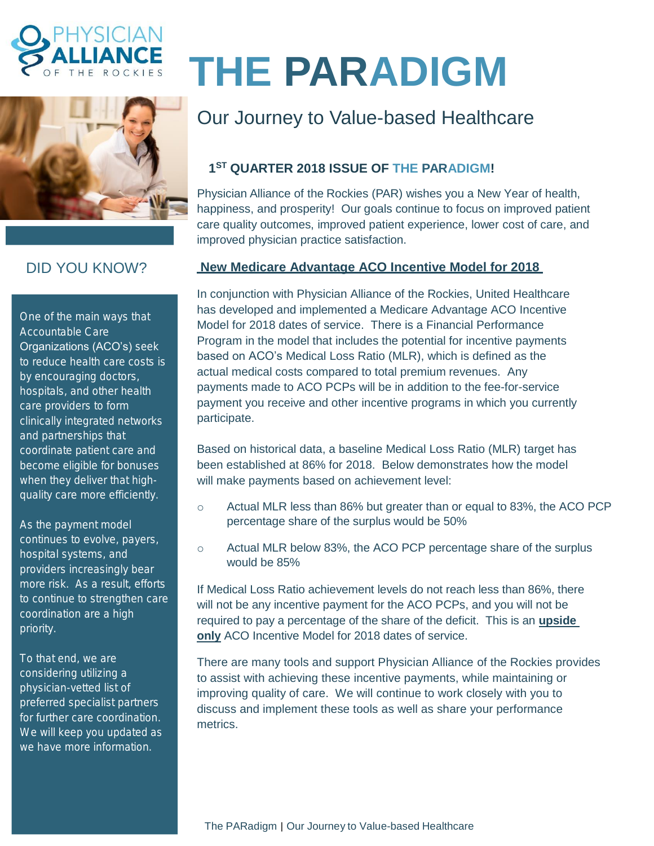



## DID YOU KNOW?

One of the main ways that Accountable Care Organizations (ACO's) seek to reduce health care costs is by encouraging doctors, hospitals, and other health care providers to form clinically integrated networks and partnerships that coordinate patient care and become eligible for bonuses when they deliver that highquality care more efficiently.

As the payment model continues to evolve, payers, hospital systems, and providers increasingly bear more risk. As a result, efforts to continue to strengthen care coordination are a high priority.

To that end, we are considering utilizing a physician-vetted list of preferred specialist partners for further care coordination. We will keep you updated as we have more information.

# **THE PARADIGM**

# Our Journey to Value-based Healthcare

### **1 ST QUARTER 2018 ISSUE OF THE PARADIGM!**

Physician Alliance of the Rockies (PAR) wishes you a New Year of health, happiness, and prosperity! Our goals continue to focus on improved patient care quality outcomes, improved patient experience, lower cost of care, and improved physician practice satisfaction.

#### **New Medicare Advantage ACO Incentive Model for 2018**

In conjunction with Physician Alliance of the Rockies, United Healthcare has developed and implemented a Medicare Advantage ACO Incentive Model for 2018 dates of service. There is a Financial Performance Program in the model that includes the potential for incentive payments based on ACO's Medical Loss Ratio (MLR), which is defined as the actual medical costs compared to total premium revenues. Any payments made to ACO PCPs will be in addition to the fee-for-service payment you receive and other incentive programs in which you currently participate.

Based on historical data, a baseline Medical Loss Ratio (MLR) target has been established at 86% for 2018. Below demonstrates how the model will make payments based on achievement level:

- $\circ$  Actual MLR less than 86% but greater than or equal to 83%, the ACO PCP percentage share of the surplus would be 50%
- o Actual MLR below 83%, the ACO PCP percentage share of the surplus would be 85%

If Medical Loss Ratio achievement levels do not reach less than 86%, there will not be any incentive payment for the ACO PCPs, and you will not be required to pay a percentage of the share of the deficit. This is an **upside only** ACO Incentive Model for 2018 dates of service.

There are many tools and support Physician Alliance of the Rockies provides to assist with achieving these incentive payments, while maintaining or improving quality of care. We will continue to work closely with you to discuss and implement these tools as well as share your performance metrics.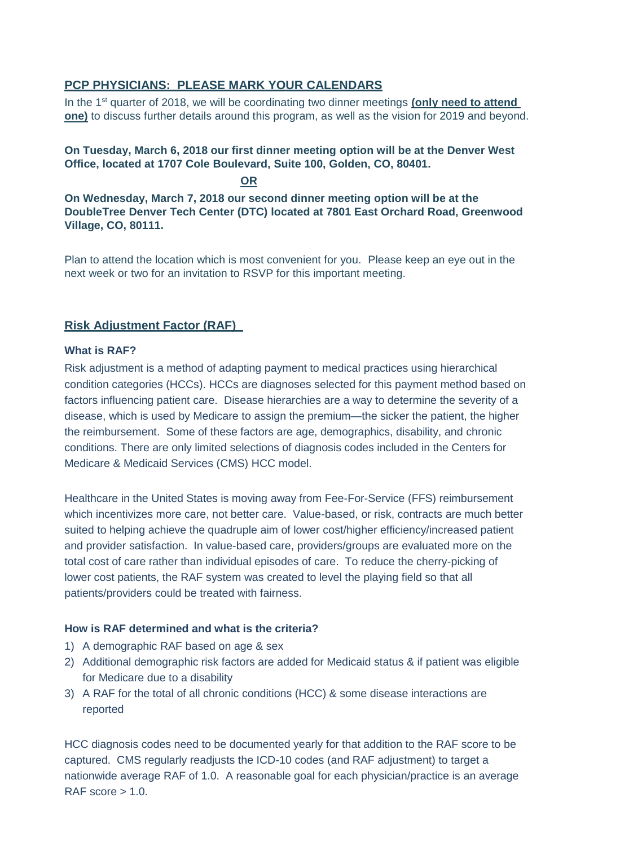#### **PCP PHYSICIANS: PLEASE MARK YOUR CALENDARS**

In the 1<sup>st</sup> quarter of 2018, we will be coordinating two dinner meetings (only need to attend **one)** to discuss further details around this program, as well as the vision for 2019 and beyond.

#### **On Tuesday, March 6, 2018 our first dinner meeting option will be at the Denver West Office, located at 1707 Cole Boulevard, Suite 100, Golden, CO, 80401.**

**OR**

**On Wednesday, March 7, 2018 our second dinner meeting option will be at the DoubleTree Denver Tech Center (DTC) located at 7801 East Orchard Road, Greenwood Village, CO, 80111.**

Plan to attend the location which is most convenient for you. Please keep an eye out in the next week or two for an invitation to RSVP for this important meeting.

#### **Risk Adjustment Factor (RAF)**

#### **What is RAF?**

Risk adjustment is a method of adapting payment to medical practices using hierarchical condition categories (HCCs). HCCs are diagnoses selected for this payment method based on factors influencing patient care. Disease hierarchies are a way to determine the severity of a disease, which is used by Medicare to assign the premium—the sicker the patient, the higher the reimbursement. Some of these factors are age, demographics, disability, and chronic conditions. There are only limited selections of diagnosis codes included in the Centers for Medicare & Medicaid Services (CMS) HCC model.

Healthcare in the United States is moving away from Fee-For-Service (FFS) reimbursement which incentivizes more care, not better care. Value-based, or risk, contracts are much better suited to helping achieve the quadruple aim of lower cost/higher efficiency/increased patient and provider satisfaction. In value-based care, providers/groups are evaluated more on the total cost of care rather than individual episodes of care. To reduce the cherry-picking of lower cost patients, the RAF system was created to level the playing field so that all patients/providers could be treated with fairness.

#### **How is RAF determined and what is the criteria?**

- 1) A demographic RAF based on age & sex
- 2) Additional demographic risk factors are added for Medicaid status & if patient was eligible for Medicare due to a disability
- 3) A RAF for the total of all chronic conditions (HCC) & some disease interactions are reported

HCC diagnosis codes need to be documented yearly for that addition to the RAF score to be captured. CMS regularly readjusts the ICD-10 codes (and RAF adjustment) to target a nationwide average RAF of 1.0. A reasonable goal for each physician/practice is an average RAF score  $> 1.0$ .